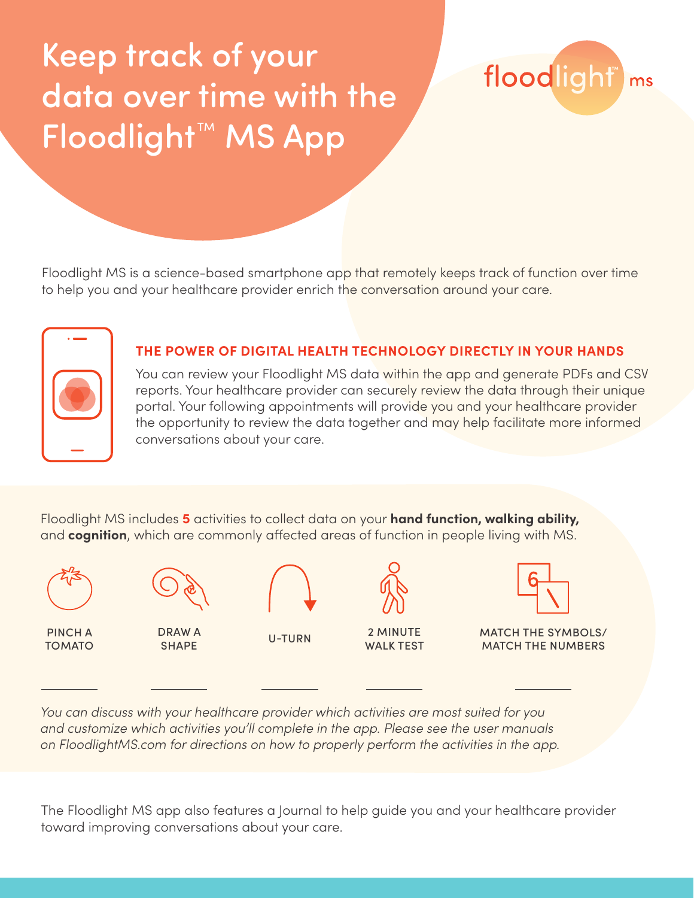## Keep track of your data over time with the Floodlight™ MS App

floodlight ms

Floodlight MS is a science-based smartphone app that remotely keeps track of function over time to help you and your healthcare provider enrich the conversation around your care.



### **THE POWER OF DIGITAL HEALTH TECHNOLOGY DIRECTLY IN YOUR HANDS**

You can review your Floodlight MS data within the app and generate PDFs and CSV reports. Your healthcare provider can securely review the data through their unique portal. Your following appointments will provide you and your healthcare provider the opportunity to review the data together and may help facilitate more informed conversations about your care.

Floodlight MS includes **5** activities to collect data on your **hand function, walking ability,**  and **cognition**, which are commonly affected areas of function in people living with MS.



*You can discuss with your healthcare provider which activities are most suited for you and customize which activities you'll complete in the app. Please see the user manuals on FloodlightMS.com for directions on how to properly perform the activities in the app.*

The Floodlight MS app also features a Journal to help guide you and your healthcare provider toward improving conversations about your care.